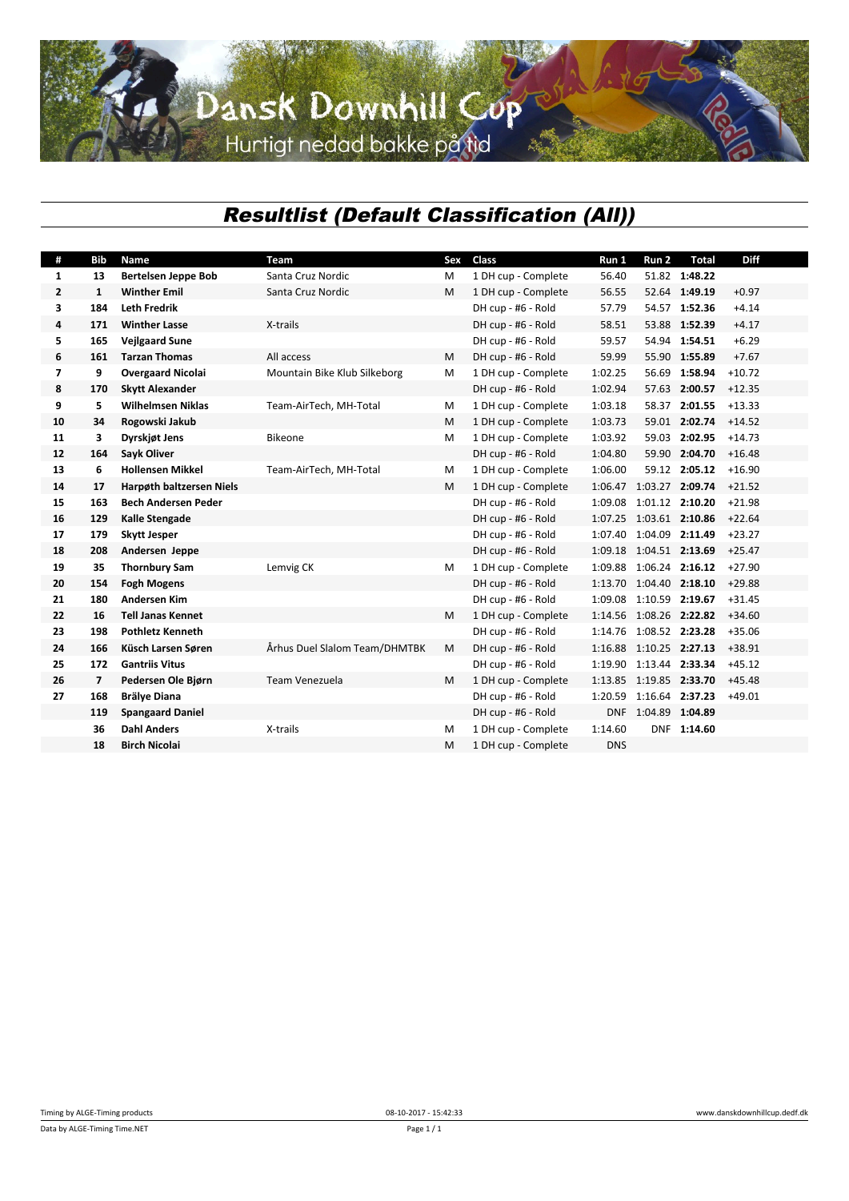## Dansk Downhill Cup

## *Resultlist (Default Classification (All))*

| #              | <b>Bib</b>     | Name                       | Team                          | Sex | Class               | Run 1      | Run 2                   | <b>Total</b>  | <b>Diff</b> |
|----------------|----------------|----------------------------|-------------------------------|-----|---------------------|------------|-------------------------|---------------|-------------|
| 1              | 13             | <b>Bertelsen Jeppe Bob</b> | Santa Cruz Nordic             | M   | 1 DH cup - Complete | 56.40      |                         | 51.82 1:48.22 |             |
| $\mathbf{2}$   | $\mathbf{1}$   | <b>Winther Emil</b>        | Santa Cruz Nordic             | M   | 1 DH cup - Complete | 56.55      |                         | 52.64 1:49.19 | $+0.97$     |
| 3              | 184            | <b>Leth Fredrik</b>        |                               |     | DH cup - #6 - Rold  | 57.79      |                         | 54.57 1:52.36 | $+4.14$     |
| 4              | 171            | <b>Winther Lasse</b>       | X-trails                      |     | DH cup - #6 - Rold  | 58.51      |                         | 53.88 1:52.39 | $+4.17$     |
| 5              | 165            | <b>Veilgaard Sune</b>      |                               |     | DH cup - #6 - Rold  | 59.57      |                         | 54.94 1:54.51 | $+6.29$     |
| 6              | 161            | <b>Tarzan Thomas</b>       | All access                    | м   | DH cup - #6 - Rold  | 59.99      |                         | 55.90 1:55.89 | $+7.67$     |
| $\overline{ }$ | 9              | <b>Overgaard Nicolai</b>   | Mountain Bike Klub Silkeborg  | M   | 1 DH cup - Complete | 1:02.25    |                         | 56.69 1:58.94 | $+10.72$    |
| 8              | 170            | <b>Skytt Alexander</b>     |                               |     | DH cup - #6 - Rold  | 1:02.94    |                         | 57.63 2:00.57 | $+12.35$    |
| 9              | 5              | <b>Wilhelmsen Niklas</b>   | Team-AirTech, MH-Total        | м   | 1 DH cup - Complete | 1:03.18    |                         | 58.37 2:01.55 | $+13.33$    |
| 10             | 34             | Rogowski Jakub             |                               | M   | 1 DH cup - Complete | 1:03.73    |                         | 59.01 2:02.74 | $+14.52$    |
| 11             | 3              | Dyrskjøt Jens              | <b>Bikeone</b>                | M   | 1 DH cup - Complete | 1:03.92    | 59.03                   | 2:02.95       | $+14.73$    |
| 12             | 164            | <b>Sayk Oliver</b>         |                               |     | DH cup - #6 - Rold  | 1:04.80    |                         | 59.90 2:04.70 | $+16.48$    |
| 13             | 6              | <b>Hollensen Mikkel</b>    | Team-AirTech, MH-Total        | M   | 1 DH cup - Complete | 1:06.00    |                         | 59.12 2:05.12 | $+16.90$    |
| 14             | 17             | Harpøth baltzersen Niels   |                               | M   | 1 DH cup - Complete | 1:06.47    | 1:03.27 2:09.74         |               | $+21.52$    |
| 15             | 163            | <b>Bech Andersen Peder</b> |                               |     | DH cup - #6 - Rold  | 1:09.08    | 1:01.12 2:10.20         |               | $+21.98$    |
| 16             | 129            | Kalle Stengade             |                               |     | DH cup - #6 - Rold  | 1:07.25    | 1:03.61 2:10.86         |               | $+22.64$    |
| 17             | 179            | <b>Skytt Jesper</b>        |                               |     | DH cup - #6 - Rold  | 1:07.40    | 1:04.09 2:11.49         |               | $+23.27$    |
| 18             | 208            | Andersen Jeppe             |                               |     | DH cup - #6 - Rold  | 1:09.18    | 1:04.51 2:13.69         |               | $+25.47$    |
| 19             | 35             | <b>Thornbury Sam</b>       | Lemvig CK                     | М   | 1 DH cup - Complete | 1:09.88    | 1:06.24 2:16.12         |               | $+27.90$    |
| 20             | 154            | <b>Fogh Mogens</b>         |                               |     | DH cup - #6 - Rold  |            | 1:13.70 1:04.40 2:18.10 |               | $+29.88$    |
| 21             | 180            | <b>Andersen Kim</b>        |                               |     | DH cup - #6 - Rold  | 1:09.08    | 1:10.59 2:19.67         |               | $+31.45$    |
| 22             | 16             | <b>Tell Janas Kennet</b>   |                               | м   | 1 DH cup - Complete | 1:14.56    | 1:08.26 2:22.82         |               | $+34.60$    |
| 23             | 198            | <b>Pothletz Kenneth</b>    |                               |     | DH cup - #6 - Rold  | 1:14.76    | 1:08.52 2:23.28         |               | $+35.06$    |
| 24             | 166            | Küsch Larsen Søren         | Århus Duel Slalom Team/DHMTBK | М   | DH cup - #6 - Rold  | 1:16.88    | 1:10.25 2:27.13         |               | $+38.91$    |
| 25             | 172            | <b>Gantriis Vitus</b>      |                               |     | DH cup - #6 - Rold  | 1:19.90    | 1:13.44 2:33.34         |               | $+45.12$    |
| 26             | $\overline{7}$ | Pedersen Ole Bjørn         | Team Venezuela                | M   | 1 DH cup - Complete | 1:13.85    | 1:19.85 2:33.70         |               | $+45.48$    |
| 27             | 168            | <b>Brälye Diana</b>        |                               |     | DH cup - #6 - Rold  | 1:20.59    | 1:16.64 2:37.23         |               | $+49.01$    |
|                | 119            | <b>Spangaard Daniel</b>    |                               |     | DH cup - #6 - Rold  | <b>DNF</b> | 1:04.89 1:04.89         |               |             |
|                | 36             | <b>Dahl Anders</b>         | X-trails                      | M   | 1 DH cup - Complete | 1:14.60    |                         | DNF 1:14.60   |             |
|                | 18             | <b>Birch Nicolai</b>       |                               | м   | 1 DH cup - Complete | <b>DNS</b> |                         |               |             |